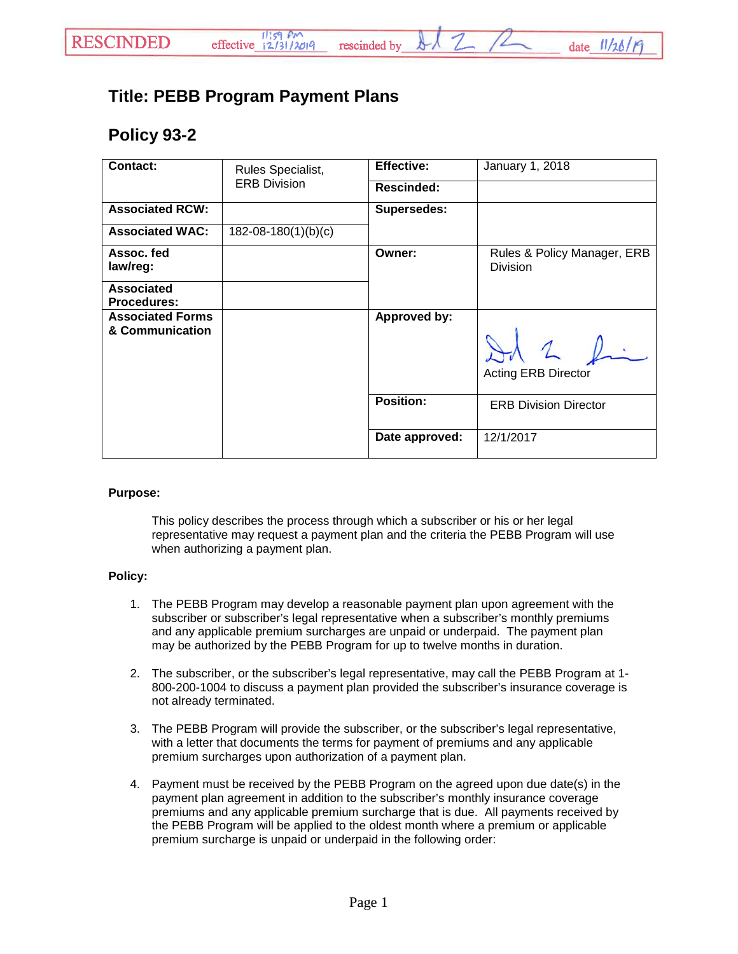## **Title: PEBB Program Payment Plans**

## **Policy 93-2**

| <b>Contact:</b>                            | Rules Specialist,<br><b>ERB Division</b> | <b>Effective:</b>  | January 1, 2018                                |
|--------------------------------------------|------------------------------------------|--------------------|------------------------------------------------|
|                                            |                                          | <b>Rescinded:</b>  |                                                |
| <b>Associated RCW:</b>                     |                                          | <b>Supersedes:</b> |                                                |
| <b>Associated WAC:</b>                     | $182 - 08 - 180(1)(b)(c)$                |                    |                                                |
| Assoc. fed<br>law/reg:                     |                                          | Owner:             | Rules & Policy Manager, ERB<br><b>Division</b> |
| <b>Associated</b><br><b>Procedures:</b>    |                                          |                    |                                                |
| <b>Associated Forms</b><br>& Communication |                                          | Approved by:       | 1 h<br><b>Acting ERB Director</b>              |
|                                            |                                          | <b>Position:</b>   | <b>ERB Division Director</b>                   |
|                                            |                                          | Date approved:     | 12/1/2017                                      |

rescinded by

## **Purpose:**

This policy describes the process through which a subscriber or his or her legal representative may request a payment plan and the criteria the PEBB Program will use when authorizing a payment plan.

## **Policy:**

- 1. The PEBB Program may develop a reasonable payment plan upon agreement with the subscriber or subscriber's legal representative when a subscriber's monthly premiums and any applicable premium surcharges are unpaid or underpaid. The payment plan may be authorized by the PEBB Program for up to twelve months in duration.
- 2. The subscriber, or the subscriber's legal representative, may call the PEBB Program at 1- 800-200-1004 to discuss a payment plan provided the subscriber's insurance coverage is not already terminated.
- 3. The PEBB Program will provide the subscriber, or the subscriber's legal representative, with a letter that documents the terms for payment of premiums and any applicable premium surcharges upon authorization of a payment plan.
- 4. Payment must be received by the PEBB Program on the agreed upon due date(s) in the payment plan agreement in addition to the subscriber's monthly insurance coverage premiums and any applicable premium surcharge that is due. All payments received by the PEBB Program will be applied to the oldest month where a premium or applicable premium surcharge is unpaid or underpaid in the following order: